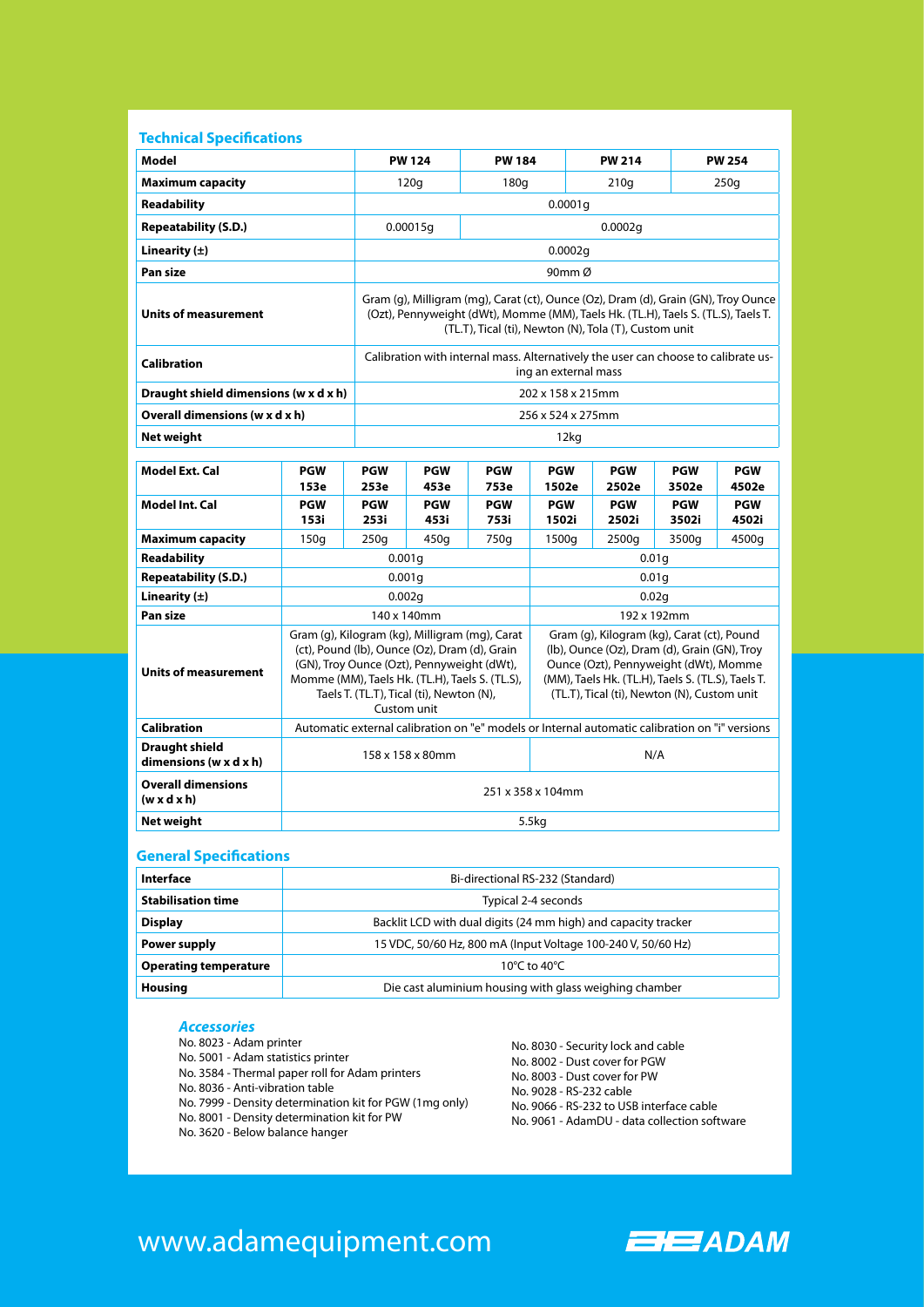| Model                                                         |                                                                                                                                                                                                                                                                                                                                                                                                                                                                                                       | <b>PW 124</b>                                                                                                                                                                                                                    |                     | <b>PW 184</b>      |                     | <b>PW 214</b>       |                     | <b>PW 254</b>       |  |
|---------------------------------------------------------------|-------------------------------------------------------------------------------------------------------------------------------------------------------------------------------------------------------------------------------------------------------------------------------------------------------------------------------------------------------------------------------------------------------------------------------------------------------------------------------------------------------|----------------------------------------------------------------------------------------------------------------------------------------------------------------------------------------------------------------------------------|---------------------|--------------------|---------------------|---------------------|---------------------|---------------------|--|
| <b>Maximum capacity</b>                                       |                                                                                                                                                                                                                                                                                                                                                                                                                                                                                                       | 120q                                                                                                                                                                                                                             |                     | 180q               |                     | 210q                |                     | 250q                |  |
| <b>Readability</b>                                            |                                                                                                                                                                                                                                                                                                                                                                                                                                                                                                       | 0.0001q                                                                                                                                                                                                                          |                     |                    |                     |                     |                     |                     |  |
| <b>Repeatability (S.D.)</b>                                   |                                                                                                                                                                                                                                                                                                                                                                                                                                                                                                       |                                                                                                                                                                                                                                  | 0.0002q<br>0.00015g |                    |                     |                     |                     |                     |  |
| Linearity $(\pm)$                                             |                                                                                                                                                                                                                                                                                                                                                                                                                                                                                                       | 0.0002g                                                                                                                                                                                                                          |                     |                    |                     |                     |                     |                     |  |
| Pan size                                                      | 90mm Ø                                                                                                                                                                                                                                                                                                                                                                                                                                                                                                |                                                                                                                                                                                                                                  |                     |                    |                     |                     |                     |                     |  |
| <b>Units of measurement</b>                                   |                                                                                                                                                                                                                                                                                                                                                                                                                                                                                                       | Gram (g), Milligram (mg), Carat (ct), Ounce (Oz), Dram (d), Grain (GN), Troy Ounce<br>(Ozt), Pennyweight (dWt), Momme (MM), Taels Hk. (TL.H), Taels S. (TL.S), Taels T.<br>(TL.T), Tical (ti), Newton (N), Tola (T), Custom unit |                     |                    |                     |                     |                     |                     |  |
| <b>Calibration</b>                                            |                                                                                                                                                                                                                                                                                                                                                                                                                                                                                                       | Calibration with internal mass. Alternatively the user can choose to calibrate us-<br>ing an external mass                                                                                                                       |                     |                    |                     |                     |                     |                     |  |
| Draught shield dimensions (w x d x h)                         |                                                                                                                                                                                                                                                                                                                                                                                                                                                                                                       | 202 x 158 x 215mm                                                                                                                                                                                                                |                     |                    |                     |                     |                     |                     |  |
| Overall dimensions (w x d x h)                                | 256 x 524 x 275mm                                                                                                                                                                                                                                                                                                                                                                                                                                                                                     |                                                                                                                                                                                                                                  |                     |                    |                     |                     |                     |                     |  |
| <b>Net weight</b>                                             |                                                                                                                                                                                                                                                                                                                                                                                                                                                                                                       | 12kg                                                                                                                                                                                                                             |                     |                    |                     |                     |                     |                     |  |
| <b>Model Ext. Cal</b>                                         | <b>PGW</b><br>153e                                                                                                                                                                                                                                                                                                                                                                                                                                                                                    | <b>PGW</b><br>253e                                                                                                                                                                                                               | <b>PGW</b><br>453e  | <b>PGW</b><br>753e | <b>PGW</b><br>1502e | <b>PGW</b><br>2502e | <b>PGW</b><br>3502e | <b>PGW</b><br>4502e |  |
| <b>Model Int. Cal</b>                                         | <b>PGW</b><br>153i                                                                                                                                                                                                                                                                                                                                                                                                                                                                                    | <b>PGW</b><br>253i                                                                                                                                                                                                               | <b>PGW</b><br>453i  | <b>PGW</b><br>753i | <b>PGW</b><br>1502i | <b>PGW</b><br>2502i | <b>PGW</b><br>3502i | <b>PGW</b><br>4502i |  |
| <b>Maximum capacity</b>                                       | 150q                                                                                                                                                                                                                                                                                                                                                                                                                                                                                                  | 250q                                                                                                                                                                                                                             | 450g                | 750g               | 1500g               | 2500g               | 3500g               | 4500g               |  |
| Readability                                                   | 0.001q<br>0.01q                                                                                                                                                                                                                                                                                                                                                                                                                                                                                       |                                                                                                                                                                                                                                  |                     |                    |                     |                     |                     |                     |  |
| <b>Repeatability (S.D.)</b>                                   | 0.001g                                                                                                                                                                                                                                                                                                                                                                                                                                                                                                |                                                                                                                                                                                                                                  |                     | 0.01 <sub>g</sub>  |                     |                     |                     |                     |  |
| Linearity $(\pm)$                                             | 0.002q                                                                                                                                                                                                                                                                                                                                                                                                                                                                                                |                                                                                                                                                                                                                                  |                     |                    | 0.02q               |                     |                     |                     |  |
| Pan size                                                      | 140 x 140mm                                                                                                                                                                                                                                                                                                                                                                                                                                                                                           |                                                                                                                                                                                                                                  |                     |                    | 192 x 192mm         |                     |                     |                     |  |
| <b>Units of measurement</b>                                   | Gram (g), Kilogram (kg), Milligram (mg), Carat<br>Gram (g), Kilogram (kg), Carat (ct), Pound<br>(ct), Pound (lb), Ounce (Oz), Dram (d), Grain<br>(lb), Ounce (Oz), Dram (d), Grain (GN), Troy<br>(GN), Troy Ounce (Ozt), Pennyweight (dWt),<br>Ounce (Ozt), Pennyweight (dWt), Momme<br>Momme (MM), Taels Hk. (TL.H), Taels S. (TL.S),<br>(MM), Taels Hk. (TL.H), Taels S. (TL.S), Taels T.<br>Taels T. (TL.T), Tical (ti), Newton (N),<br>(TL.T), Tical (ti), Newton (N), Custom unit<br>Custom unit |                                                                                                                                                                                                                                  |                     |                    |                     |                     |                     |                     |  |
|                                                               | Automatic external calibration on "e" models or Internal automatic calibration on "i" versions                                                                                                                                                                                                                                                                                                                                                                                                        |                                                                                                                                                                                                                                  |                     |                    |                     |                     |                     |                     |  |
| <b>Calibration</b>                                            |                                                                                                                                                                                                                                                                                                                                                                                                                                                                                                       |                                                                                                                                                                                                                                  |                     |                    |                     |                     |                     |                     |  |
| <b>Draught shield</b><br>dimensions ( $w \times d \times h$ ) |                                                                                                                                                                                                                                                                                                                                                                                                                                                                                                       |                                                                                                                                                                                                                                  | 158 x 158 x 80mm    |                    |                     |                     | N/A                 |                     |  |
| <b>Overall dimensions</b><br>$(w \times d \times h)$          |                                                                                                                                                                                                                                                                                                                                                                                                                                                                                                       |                                                                                                                                                                                                                                  |                     |                    | 251 x 358 x 104mm   |                     |                     |                     |  |
| Net weight                                                    |                                                                                                                                                                                                                                                                                                                                                                                                                                                                                                       |                                                                                                                                                                                                                                  |                     |                    | 5.5kg               |                     |                     |                     |  |
| <b>General Specifications</b>                                 |                                                                                                                                                                                                                                                                                                                                                                                                                                                                                                       |                                                                                                                                                                                                                                  |                     |                    |                     |                     |                     |                     |  |

| Interface                    | Bi-directional RS-232 (Standard)                               |  |  |  |
|------------------------------|----------------------------------------------------------------|--|--|--|
| <b>Stabilisation time</b>    | Typical 2-4 seconds                                            |  |  |  |
| <b>Display</b>               | Backlit LCD with dual digits (24 mm high) and capacity tracker |  |  |  |
| Power supply                 | 15 VDC, 50/60 Hz, 800 mA (Input Voltage 100-240 V, 50/60 Hz)   |  |  |  |
| <b>Operating temperature</b> | 10 $\degree$ C to 40 $\degree$ C                               |  |  |  |
| <b>Housing</b>               | Die cast aluminium housing with glass weighing chamber         |  |  |  |

#### *Accessories*

No. 8023 - Adam printer

- No. 5001 Adam statistics printer
- No. 3584 Thermal paper roll for Adam printers
- No. 8036 Anti-vibration table
- No. 7999 Density determination kit for PGW (1mg only)

No. 8001 - Density determination kit for PW

No. 3620 - Below balance hanger

No. 8030 - Security lock and cable No. 8002 - Dust cover for PGW No. 8003 - Dust cover for PW No. 9028 - RS-232 cable No. 9066 - RS-232 to USB interface cable No. 9061 - AdamDU - data collection software

# www.adamequipment.com

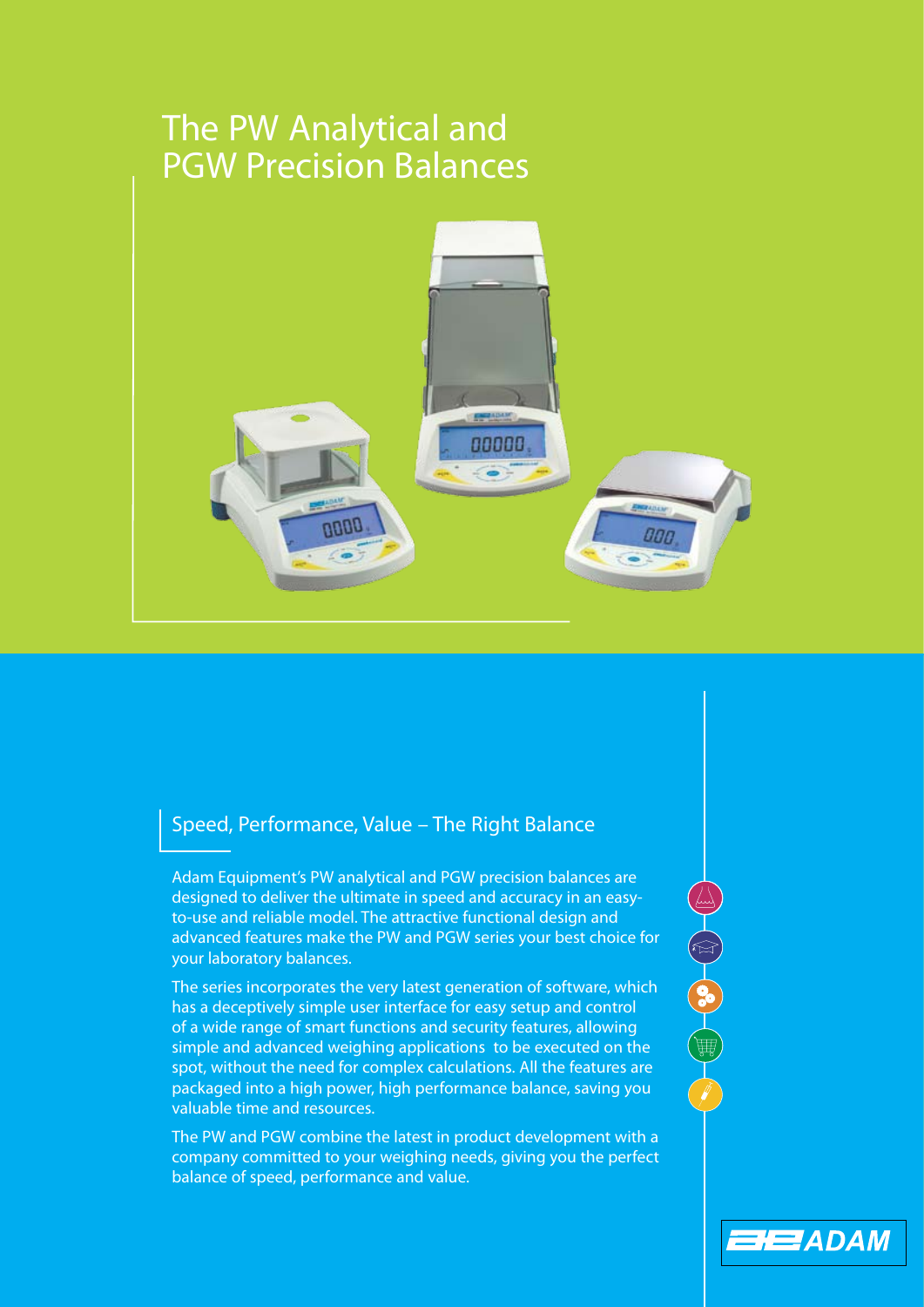# The PW Analytical and PGW Precision Balances



# Speed, Performance, Value – The Right Balance

Adam Equipment's PW analytical and PGW precision balances are designed to deliver the ultimate in speed and accuracy in an easyto-use and reliable model. The attractive functional design and advanced features make the PW and PGW series your best choice for your laboratory balances.

The series incorporates the very latest generation of software, which has a deceptively simple user interface for easy setup and control of a wide range of smart functions and security features, allowing simple and advanced weighing applications to be executed on the spot, without the need for complex calculations. All the features are packaged into a high power, high performance balance, saving you valuable time and resources.

The PW and PGW combine the latest in product development with a company committed to your weighing needs, giving you the perfect balance of speed, performance and value.

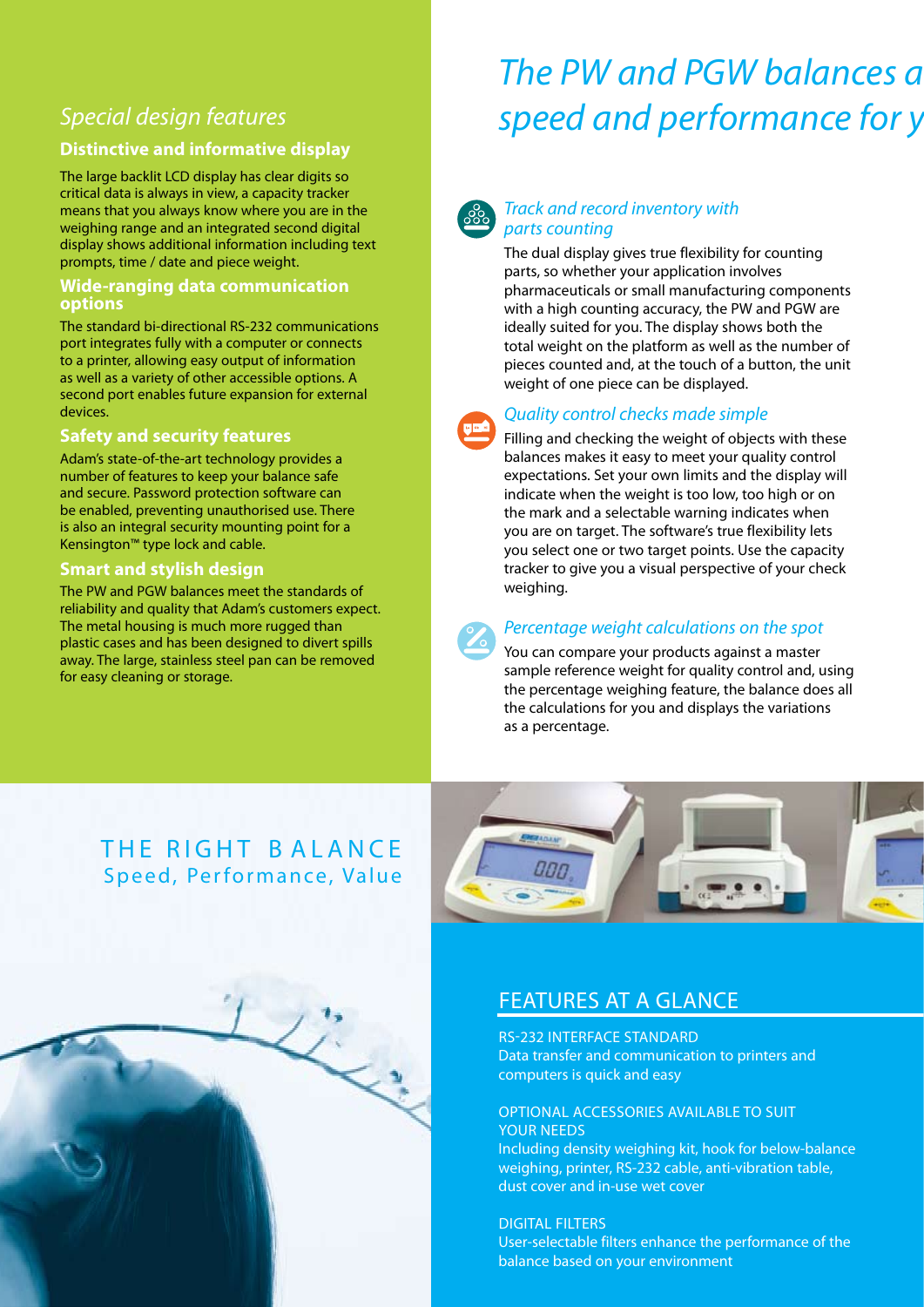# *Special design features*

### **Distinctive and informative display**

The large backlit LCD display has clear digits so critical data is always in view, a capacity tracker means that you always know where you are in the weighing range and an integrated second digital display shows additional information including text prompts, time / date and piece weight.

#### **Wide-ranging data communication options**

The standard bi-directional RS-232 communications port integrates fully with a computer or connects to a printer, allowing easy output of information as well as a variety of other accessible options. A second port enables future expansion for external devices.

### **Safety and security features**

Adam's state-of-the-art technology provides a number of features to keep your balance safe and secure. Password protection software can be enabled, preventing unauthorised use. There is also an integral security mounting point for a Kensington™ type lock and cable.

#### **Smart and stylish design**

The PW and PGW balances meet the standards of reliability and quality that Adam's customers expect. The metal housing is much more rugged than plastic cases and has been designed to divert spills away. The large, stainless steel pan can be removed for easy cleaning or storage.

# *The PW and PGW balances a speed and performance for y*



### *Track and record inventory with parts counting*

The dual display gives true flexibility for counting parts, so whether your application involves pharmaceuticals or small manufacturing components with a high counting accuracy, the PW and PGW are ideally suited for you. The display shows both the total weight on the platform as well as the number of pieces counted and, at the touch of a button, the unit weight of one piece can be displayed.



#### *Quality control checks made simple*

Filling and checking the weight of objects with these balances makes it easy to meet your quality control expectations. Set your own limits and the display will indicate when the weight is too low, too high or on the mark and a selectable warning indicates when you are on target. The software's true flexibility lets you select one or two target points. Use the capacity tracker to give you a visual perspective of your check weighing.



#### *Percentage weight calculations on the spot*

You can compare your products against a master sample reference weight for quality control and, using the percentage weighing feature, the balance does all the calculations for you and displays the variations as a percentage.

# THE RIGHT BALANCE Speed, Performance, Value

Line of the contract of



## Features at a glance

Rs-232 interface standard Data transfer and communication to printers and computers is quick and easy

#### Optional accessories available to suit your needs

Including density weighing kit, hook for below-balance weighing, printer, RS-232 cable, anti-vibration table, dust cover and in-use wet cover

digital filters

User-selectable filters enhance the performance of the balance based on your environment